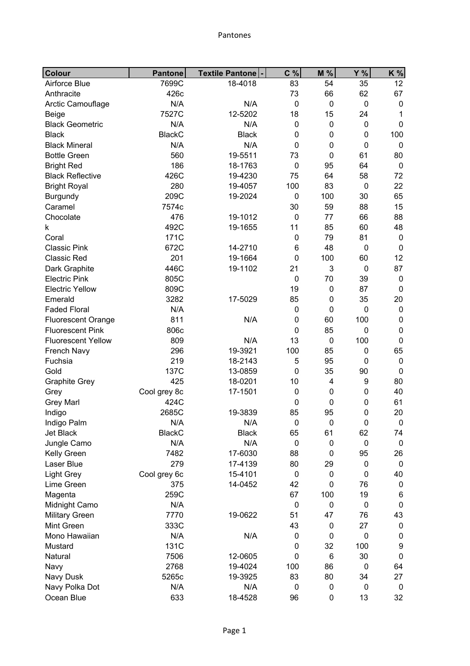## Pantones

| Colour                    | <b>Pantone</b> | Textile Pantone - | C %         | M %         | Y%          | K %              |
|---------------------------|----------------|-------------------|-------------|-------------|-------------|------------------|
| Airforce Blue             | 7699C          | 18-4018           | 83          | 54          | 35          | 12               |
| Anthracite                | 426c           |                   | 73          | 66          | 62          | 67               |
| Arctic Camouflage         | N/A            | N/A               | $\mathbf 0$ | $\pmb{0}$   | $\mathbf 0$ | $\boldsymbol{0}$ |
| Beige                     | 7527C          | 12-5202           | 18          | 15          | 24          | 1                |
| <b>Black Geometric</b>    | N/A            | N/A               | $\mathbf 0$ | $\mathbf 0$ | $\mathbf 0$ | $\mathbf 0$      |
| <b>Black</b>              | <b>BlackC</b>  | <b>Black</b>      | $\mathbf 0$ | 0           | $\mathbf 0$ | 100              |
| <b>Black Mineral</b>      | N/A            | N/A               | $\mathbf 0$ | $\mathbf 0$ | $\mathbf 0$ | $\boldsymbol{0}$ |
| <b>Bottle Green</b>       | 560            | 19-5511           | 73          | $\mathbf 0$ | 61          | 80               |
| <b>Bright Red</b>         | 186            | 18-1763           | $\mathbf 0$ | 95          | 64          | $\mathbf 0$      |
| <b>Black Reflective</b>   | 426C           | 19-4230           | 75          | 64          | 58          | 72               |
| <b>Bright Royal</b>       | 280            | 19-4057           | 100         | 83          | $\mathbf 0$ | 22               |
| <b>Burgundy</b>           | 209C           | 19-2024           | $\mathbf 0$ | 100         | 30          | 65               |
| Caramel                   | 7574c          |                   | 30          | 59          | 88          | 15               |
| Chocolate                 | 476            | 19-1012           | $\mathbf 0$ | 77          | 66          | 88               |
| k                         | 492C           | 19-1655           | 11          | 85          | 60          | 48               |
| Coral                     | 171C           |                   | $\mathbf 0$ | 79          | 81          | $\boldsymbol{0}$ |
| <b>Classic Pink</b>       | 672C           | 14-2710           | 6           | 48          | $\mathbf 0$ | $\mathbf 0$      |
| <b>Classic Red</b>        | 201            | 19-1664           | $\mathbf 0$ | 100         | 60          | 12               |
| Dark Graphite             | 446C           | 19-1102           | 21          | 3           | $\mathbf 0$ | 87               |
| <b>Electric Pink</b>      | 805C           |                   | $\mathbf 0$ | 70          | 39          | $\boldsymbol{0}$ |
| <b>Electric Yellow</b>    | 809C           |                   | 19          | 0           | 87          | $\boldsymbol{0}$ |
| Emerald                   | 3282           | 17-5029           | 85          | 0           | 35          | 20               |
| <b>Faded Floral</b>       | N/A            |                   | $\mathbf 0$ | $\mathbf 0$ | $\mathbf 0$ | $\boldsymbol{0}$ |
| <b>Fluorescent Orange</b> | 811            | N/A               | $\mathbf 0$ | 60          | 100         | $\boldsymbol{0}$ |
| <b>Fluorescent Pink</b>   | 806c           |                   | $\mathbf 0$ | 85          | $\mathbf 0$ | $\pmb{0}$        |
| <b>Fluorescent Yellow</b> | 809            | N/A               | 13          | $\mathbf 0$ | 100         | $\pmb{0}$        |
| French Navy               | 296            | 19-3921           | 100         | 85          | $\mathbf 0$ | 65               |
| Fuchsia                   | 219            | 18-2143           | 5           | 95          | $\mathbf 0$ | $\boldsymbol{0}$ |
| Gold                      | 137C           | 13-0859           | $\mathbf 0$ | 35          | 90          | $\mathbf 0$      |
| <b>Graphite Grey</b>      | 425            | 18-0201           | 10          | 4           | 9           | 80               |
| Grey                      | Cool grey 8c   | 17-1501           | $\pmb{0}$   | $\mathbf 0$ | $\mathbf 0$ | 40               |
| <b>Grey Marl</b>          | 424C           |                   | $\mathbf 0$ | $\mathbf 0$ | $\mathbf 0$ | 61               |
| Indigo                    | 2685C          | 19-3839           | 85          | 95          | $\mathbf 0$ | 20               |
| Indigo Palm               | N/A            | N/A               | $\pmb{0}$   | $\pmb{0}$   | 0           | $\pmb{0}$        |
| Jet Black                 | <b>BlackC</b>  | <b>Black</b>      | 65          | 61          | 62          | 74               |
| Jungle Camo               | N/A            | N/A               | $\mathbf 0$ | 0           | $\mathbf 0$ | $\boldsymbol{0}$ |
| Kelly Green               | 7482           | 17-6030           | 88          | 0           | 95          | 26               |
| Laser Blue                | 279            | 17-4139           | 80          | 29          | $\mathbf 0$ | $\boldsymbol{0}$ |
| <b>Light Grey</b>         | Cool grey 6c   | 15-4101           | $\mathbf 0$ | 0           | $\mathbf 0$ | 40               |
| Lime Green                | 375            | 14-0452           | 42          | 0           | 76          | $\boldsymbol{0}$ |
| Magenta                   | 259C           |                   | 67          | 100         | 19          | 6                |
| Midnight Camo             | N/A            |                   | $\mathbf 0$ | 0           | $\mathbf 0$ | $\boldsymbol{0}$ |
| <b>Military Green</b>     | 7770           | 19-0622           | 51          | 47          | 76          | 43               |
| Mint Green                | 333C           |                   | 43          | 0           | 27          | $\pmb{0}$        |
| Mono Hawaiian             | N/A            | N/A               | 0           | $\mathbf 0$ | $\mathbf 0$ | $\pmb{0}$        |
| Mustard                   | 131C           |                   | $\mathbf 0$ | 32          | 100         | 9                |
| Natural                   | 7506           | 12-0605           | $\mathbf 0$ | 6           | 30          | $\mathbf 0$      |
| Navy                      | 2768           | 19-4024           | 100         | 86          | $\mathbf 0$ | 64               |
| Navy Dusk                 | 5265c          | 19-3925           | 83          | 80          | 34          | 27               |
| Navy Polka Dot            | N/A            | N/A               | 0           | 0           | $\mathbf 0$ | $\mathbf 0$      |
| Ocean Blue                | 633            | 18-4528           | 96          | 0           | 13          | 32               |